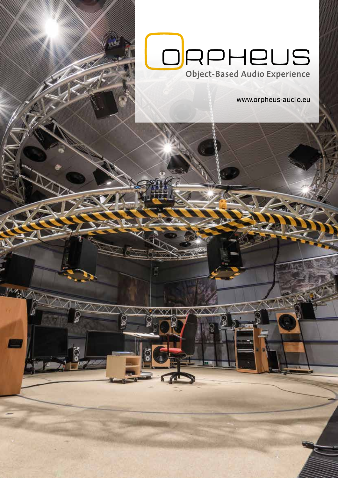

**MAN** 

www.orpheus-audio.eu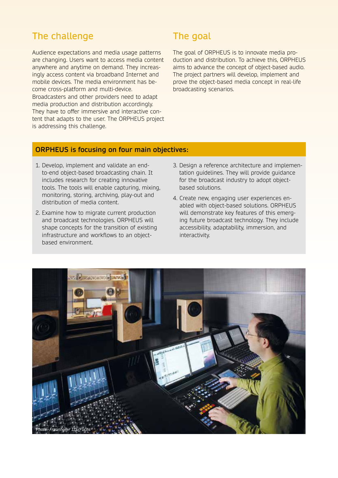# The challenge

Audience expectations and media usage patterns are changing. Users want to access media content anywhere and anytime on demand. They increasingly access content via broadband Internet and mobile devices. The media environment has become cross-platform and multi-device. Broadcasters and other providers need to adapt media production and distribution accordingly. They have to offer immersive and interactive content that adapts to the user. The ORPHEUS project is addressing this challenge.

# The goal

The goal of ORPHEUS is to innovate media production and distribution. To achieve this, ORPHEUS aims to advance the concept of object-based audio. The project partners will develop, implement and prove the object-based media concept in real-life broadcasting scenarios.

#### **ORPHEUS is focusing on four main objectives:**

- 1. Develop, implement and validate an endto-end object-based broadcasting chain. It includes research for creating innovative tools. The tools will enable capturing, mixing, monitoring, storing, archiving, play-out and distribution of media content.
- 2. Examine how to migrate current production and broadcast technologies. ORPHEUS will shape concepts for the transition of existing infrastructure and workflows to an objectbased environment.
- 3. Design a reference architecture and implementation guidelines. They will provide guidance for the broadcast industry to adopt objectbased solutions.
- 4. Create new, engaging user experiences enabled with object-based solutions. ORPHEUS will demonstrate key features of this emerging future broadcast technology. They include accessibility, adaptability, immersion, and interactivity.

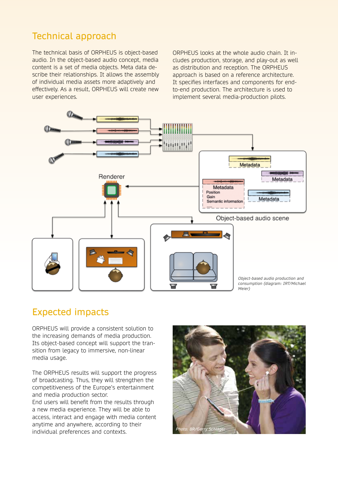# Technical approach

The technical basis of ORPHEUS is object-based audio. In the object-based audio concept, media content is a set of media objects. Meta data describe their relationships. It allows the assembly of individual media assets more adaptively and effectively. As a result, ORPHEUS will create new user experiences.

ORPHEUS looks at the whole audio chain. It includes production, storage, and play-out as well as distribution and reception. The ORPHEUS approach is based on a reference architecture. It specifies interfaces and components for endto-end production. The architecture is used to implement several media-production pilots.



## Expected impacts

ORPHEUS will provide a consistent solution to the increasing demands of media production. Its object-based concept will support the transition from legacy to immersive, non-linear media usage.

The ORPHEUS results will support the progress of broadcasting. Thus, they will strengthen the competitiveness of the Europe's entertainment and media production sector.

End users will benefit from the results through a new media experience. They will be able to access, interact and engage with media content anytime and anywhere, according to their individual preferences and contexts.